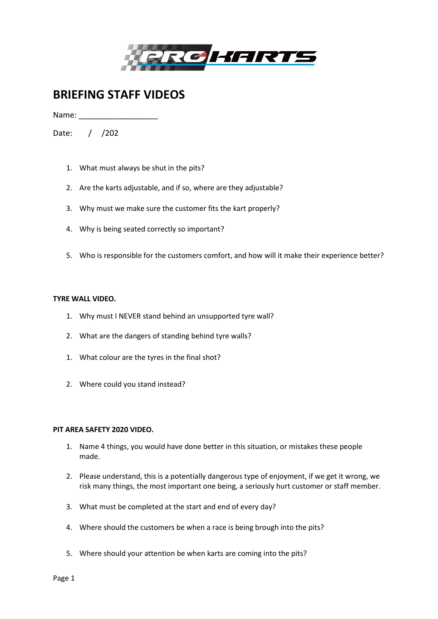

# **BRIEFING STAFF VIDEOS**

Name:

Date: / /202

- 1. What must always be shut in the pits?
- 2. Are the karts adjustable, and if so, where are they adjustable?
- 3. Why must we make sure the customer fits the kart properly?
- 4. Why is being seated correctly so important?
- 5. Who is responsible for the customers comfort, and how will it make their experience better?

## **TYRE WALL VIDEO.**

- 1. Why must I NEVER stand behind an unsupported tyre wall?
- 2. What are the dangers of standing behind tyre walls?
- 1. What colour are the tyres in the final shot?
- 2. Where could you stand instead?

## **PIT AREA SAFETY 2020 VIDEO.**

- 1. Name 4 things, you would have done better in this situation, or mistakes these people made.
- 2. Please understand, this is a potentially dangerous type of enjoyment, if we get it wrong, we risk many things, the most important one being, a seriously hurt customer or staff member.
- 3. What must be completed at the start and end of every day?
- 4. Where should the customers be when a race is being brough into the pits?
- 5. Where should your attention be when karts are coming into the pits?